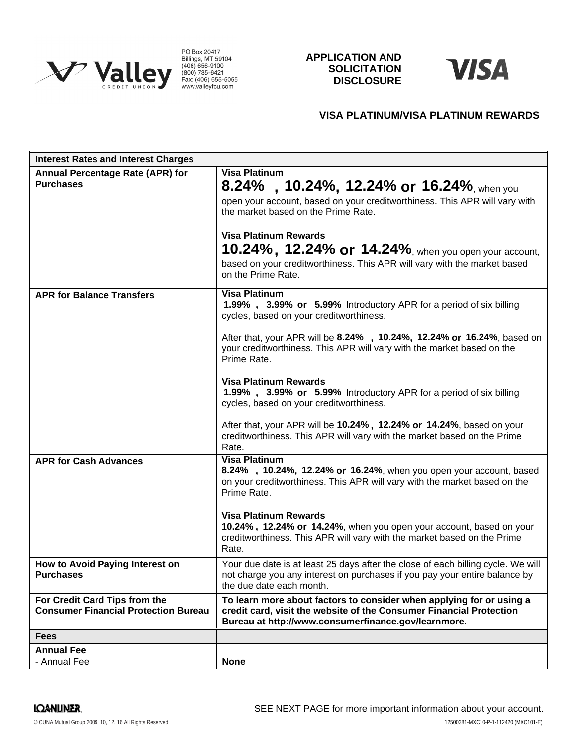

PO Box 20417<br>Billings, MT 59104<br>(406) 656-9100<br>(800) 735-6421<br>Fax: (406) 655-5055<br>www.valleyfcu.com

**APPLICATION AND SOLICITATION DISCLOSURE**



# **VISA PLATINUM/VISA PLATINUM REWARDS**

| <b>Interest Rates and Interest Charges</b>                                   |                                                                                                                                                                                                                                                                                                                                                                     |
|------------------------------------------------------------------------------|---------------------------------------------------------------------------------------------------------------------------------------------------------------------------------------------------------------------------------------------------------------------------------------------------------------------------------------------------------------------|
| <b>Annual Percentage Rate (APR) for</b><br><b>Purchases</b>                  | <b>Visa Platinum</b><br>8.24%, 10.24%, 12.24% or 16.24%, when you<br>open your account, based on your creditworthiness. This APR will vary with<br>the market based on the Prime Rate.<br><b>Visa Platinum Rewards</b><br><b>10.24%, 12.24% or 14.24%</b> , when you open your account,<br>based on your creditworthiness. This APR will vary with the market based |
| <b>APR for Balance Transfers</b>                                             | on the Prime Rate.<br><b>Visa Platinum</b><br>1.99%, 3.99% or 5.99% Introductory APR for a period of six billing<br>cycles, based on your creditworthiness.                                                                                                                                                                                                         |
|                                                                              | After that, your APR will be 8.24%, 10.24%, 12.24% or 16.24%, based on<br>your creditworthiness. This APR will vary with the market based on the<br>Prime Rate.                                                                                                                                                                                                     |
|                                                                              | <b>Visa Platinum Rewards</b><br>1.99%, 3.99% or 5.99% Introductory APR for a period of six billing<br>cycles, based on your creditworthiness.                                                                                                                                                                                                                       |
|                                                                              | After that, your APR will be 10.24%, 12.24% or 14.24%, based on your<br>creditworthiness. This APR will vary with the market based on the Prime<br>Rate.                                                                                                                                                                                                            |
| <b>APR for Cash Advances</b>                                                 | <b>Visa Platinum</b><br>8.24%, 10.24%, 12.24% or 16.24%, when you open your account, based<br>on your creditworthiness. This APR will vary with the market based on the<br>Prime Rate.                                                                                                                                                                              |
|                                                                              | <b>Visa Platinum Rewards</b><br>10.24%, 12.24% or 14.24%, when you open your account, based on your<br>creditworthiness. This APR will vary with the market based on the Prime<br>Rate.                                                                                                                                                                             |
| How to Avoid Paying Interest on<br><b>Purchases</b>                          | Your due date is at least 25 days after the close of each billing cycle. We will<br>not charge you any interest on purchases if you pay your entire balance by<br>the due date each month.                                                                                                                                                                          |
| For Credit Card Tips from the<br><b>Consumer Financial Protection Bureau</b> | To learn more about factors to consider when applying for or using a<br>credit card, visit the website of the Consumer Financial Protection<br>Bureau at http://www.consumerfinance.gov/learnmore.                                                                                                                                                                  |
| <b>Fees</b>                                                                  |                                                                                                                                                                                                                                                                                                                                                                     |
| <b>Annual Fee</b>                                                            |                                                                                                                                                                                                                                                                                                                                                                     |
| - Annual Fee                                                                 | <b>None</b>                                                                                                                                                                                                                                                                                                                                                         |